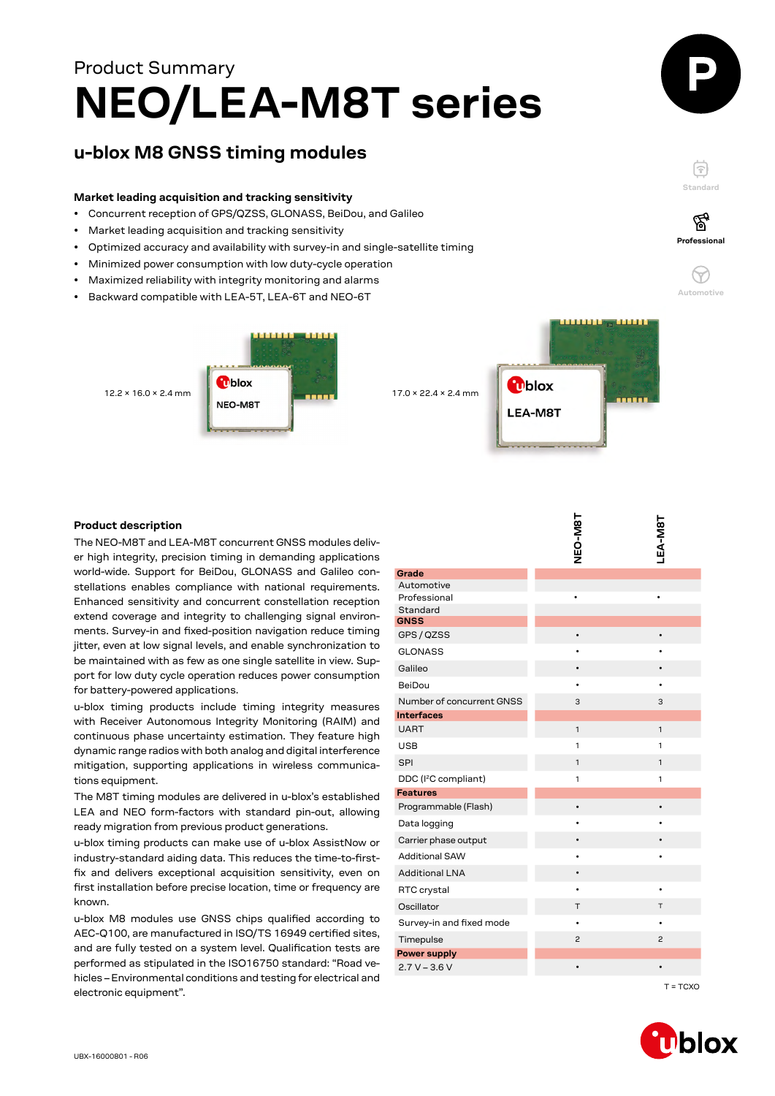# **NEO/LEA-M8T series** Product Summary

## **u-blox M8 GNSS timing modules**

#### **Market leading acquisition and tracking sensitivity**

- Concurrent reception of GPS/QZSS, GLONASS, BeiDou, and Galileo
- Market leading acquisition and tracking sensitivity
- Optimized accuracy and availability with survey-in and single-satellite timing
- Minimized power consumption with low duty-cycle operation
- Maximized reliability with integrity monitoring and alarms
- Backward compatible with LEA-5T, LEA-6T and NEO-6T



#### **Product description**

| <b>Product description</b>                                                                                                      |                                                     |                |                |
|---------------------------------------------------------------------------------------------------------------------------------|-----------------------------------------------------|----------------|----------------|
| The NEO-M8T and LEA-M8T concurrent GNSS modules deliv-<br>er high integrity, precision timing in demanding applications         |                                                     | NEO-M8T        | LEA-M8T        |
| world-wide. Support for BeiDou, GLONASS and Galileo con-                                                                        | Grade                                               |                |                |
| stellations enables compliance with national requirements.                                                                      | Automotive                                          |                |                |
| Enhanced sensitivity and concurrent constellation reception                                                                     | Professional                                        |                |                |
| extend coverage and integrity to challenging signal environ-                                                                    | Standard<br><b>GNSS</b>                             |                |                |
| ments. Survey-in and fixed-position navigation reduce timing                                                                    | GPS / QZSS                                          |                |                |
| jitter, even at low signal levels, and enable synchronization to                                                                | <b>GLONASS</b>                                      |                |                |
| be maintained with as few as one single satellite in view. Sup-                                                                 | Galileo                                             |                |                |
| port for low duty cycle operation reduces power consumption                                                                     | BeiDou                                              |                |                |
| for battery-powered applications.                                                                                               |                                                     |                |                |
| u-blox timing products include timing integrity measures                                                                        | Number of concurrent GNSS<br><b>Interfaces</b>      | 3              | 3              |
| with Receiver Autonomous Integrity Monitoring (RAIM) and                                                                        | <b>UART</b>                                         | $\mathbf{1}$   | $\mathbf{1}$   |
| continuous phase uncertainty estimation. They feature high                                                                      | <b>USB</b>                                          | 1              | 1              |
| dynamic range radios with both analog and digital interference                                                                  | SPI                                                 | $\mathbf{1}$   | $\mathbf{1}$   |
| mitigation, supporting applications in wireless communica-                                                                      |                                                     |                |                |
| tions equipment.                                                                                                                | DDC (I <sup>2</sup> C compliant)<br><b>Features</b> | $\mathbf{1}$   | 1              |
| The M8T timing modules are delivered in u-blox's established                                                                    | Programmable (Flash)                                |                |                |
| LEA and NEO form-factors with standard pin-out, allowing                                                                        | Data logging                                        |                |                |
| ready migration from previous product generations.                                                                              | Carrier phase output                                |                |                |
| u-blox timing products can make use of u-blox AssistNow or                                                                      |                                                     |                |                |
| industry-standard aiding data. This reduces the time-to-first-                                                                  | <b>Additional SAW</b>                               |                |                |
| fix and delivers exceptional acquisition sensitivity, even on                                                                   | <b>Additional LNA</b>                               |                |                |
| first installation before precise location, time or frequency are                                                               | RTC crystal                                         |                |                |
| known.                                                                                                                          | Oscillator                                          | Τ              | Т              |
| u-blox M8 modules use GNSS chips qualified according to                                                                         | Survey-in and fixed mode                            |                |                |
| AEC-Q100, are manufactured in ISO/TS 16949 certified sites,<br>and are fully tested on a system level. Qualification tests are  | Timepulse                                           | $\overline{c}$ | $\overline{c}$ |
|                                                                                                                                 | <b>Power supply</b>                                 |                |                |
| performed as stipulated in the ISO16750 standard: "Road ve-<br>hicles – Environmental conditions and testing for electrical and | $2.7 V - 3.6 V$                                     | $\bullet$      |                |
| electronic equipment".                                                                                                          |                                                     |                | $T = TCXO$     |



**Standard**

F

**Professional**

′ିବୁ

**Automotive**

 $\approx$